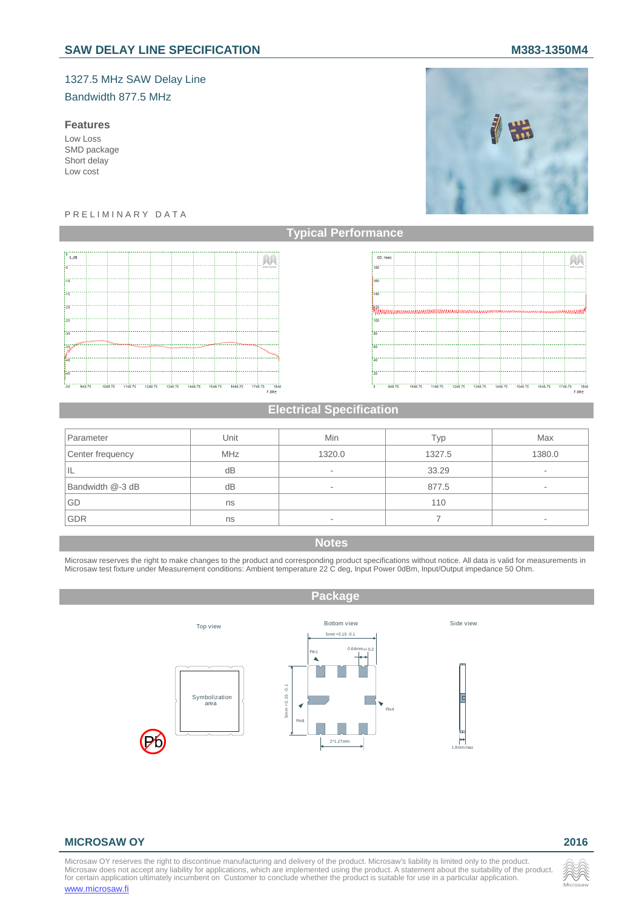# 1327.5 MHz SAW Delay Line Bandwidth 877.5 MHz

#### **Features**

Low Loss SMD package Short delay Low cost

#### P R E L I M I N A R Y D A T A





## **Electrical Specification**

| Parameter        | Unit       | Min                      | Tvp    | Max    |
|------------------|------------|--------------------------|--------|--------|
| Center frequency | <b>MHz</b> | 1320.0                   | 1327.5 | 1380.0 |
| ΙL               | dB         | ۰                        | 33.29  | ۰      |
| Bandwidth @-3 dB | dB         | ۰                        | 877.5  | ۰      |
| GD               | ns         |                          | 110    |        |
| <b>GDR</b>       | ns         | $\overline{\phantom{a}}$ |        | ۰      |

# **Notes**

Microsaw reserves the right to make changes to the product and corresponding product specifications without notice. All data is valid for measurements in<br>Microsaw test fixture under Measurement conditions: Ambient temperat



### **MICROSAW OY 2016**

Microsaw OY reserves the right to discontinue manufacturing and delivery of the product. Microsaw's liability is limited only to the product.<br>Microsaw does not accept any liability for applications, which are implemented u www.microsaw.fi